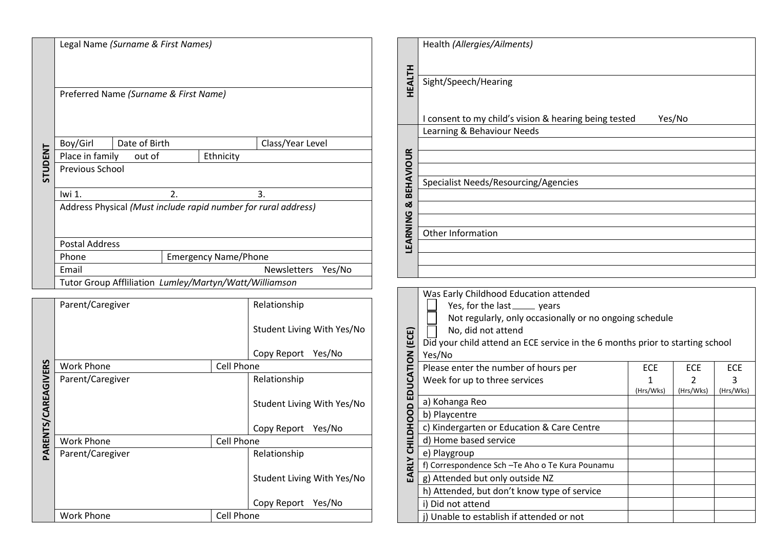|                   | Legal Name (Surname & First Names)                             |                   |                            |  |  |
|-------------------|----------------------------------------------------------------|-------------------|----------------------------|--|--|
|                   | Preferred Name (Surname & First Name)                          |                   |                            |  |  |
|                   |                                                                |                   |                            |  |  |
|                   | Date of Birth<br>Boy/Girl                                      |                   | Class/Year Level           |  |  |
|                   | Place in family<br>out of                                      | Ethnicity         |                            |  |  |
| <b>STUDENT</b>    | Previous School                                                |                   |                            |  |  |
|                   | Iwi 1.<br>2.                                                   |                   | 3.                         |  |  |
|                   | Address Physical (Must include rapid number for rural address) |                   |                            |  |  |
|                   | <b>Postal Address</b>                                          |                   |                            |  |  |
|                   | Phone<br><b>Emergency Name/Phone</b>                           |                   |                            |  |  |
|                   | Email<br>Yes/No<br><b>Newsletters</b>                          |                   |                            |  |  |
|                   | Tutor Group Affliliation Lumley/Martyn/Watt/Williamson         |                   |                            |  |  |
|                   |                                                                |                   |                            |  |  |
|                   | Parent/Caregiver                                               |                   | Relationship               |  |  |
|                   |                                                                |                   | Student Living With Yes/No |  |  |
|                   |                                                                |                   | Copy Report<br>Yes/No      |  |  |
|                   | <b>Work Phone</b>                                              | <b>Cell Phone</b> |                            |  |  |
|                   | Parent/Caregiver                                               |                   | Relationship               |  |  |
| RENTS/CAREAGIVERS |                                                                |                   | Student Living With Yes/No |  |  |
|                   |                                                                |                   | Copy Report<br>Yes/No      |  |  |
|                   | <b>Work Phone</b>                                              | Cell Phone        |                            |  |  |
| $\overline{A}$    | Parent/Caregiver                                               |                   | Relationship               |  |  |
|                   |                                                                |                   |                            |  |  |
|                   |                                                                |                   | Student Living With Yes/No |  |  |
|                   |                                                                |                   | Copy Report<br>Yes/No      |  |  |
|                   | <b>Work Phone</b>                                              | Cell Phone        |                            |  |  |

|                  | Health (Allergies/Ailments)                                     |
|------------------|-----------------------------------------------------------------|
|                  |                                                                 |
| <b>HEALTH</b>    | Sight/Speech/Hearing                                            |
|                  |                                                                 |
|                  | I consent to my child's vision & hearing being tested<br>Yes/No |
|                  | Learning & Behaviour Needs                                      |
|                  |                                                                 |
| <b>BEHAVIOUR</b> |                                                                 |
|                  |                                                                 |
|                  | Specialist Needs/Resourcing/Agencies                            |
| ಯ                |                                                                 |
|                  |                                                                 |
| LEARNING         | Other Information                                               |
|                  |                                                                 |
|                  |                                                                 |
|                  |                                                                 |

|                          | Was Early Childhood Education attended                                        |            |            |            |  |
|--------------------------|-------------------------------------------------------------------------------|------------|------------|------------|--|
|                          | Yes, for the last ______ years                                                |            |            |            |  |
|                          | Not regularly, only occasionally or no ongoing schedule                       |            |            |            |  |
|                          | No, did not attend                                                            |            |            |            |  |
|                          | Did your child attend an ECE service in the 6 months prior to starting school |            |            |            |  |
|                          | Yes/No                                                                        |            |            |            |  |
|                          | Please enter the number of hours per                                          | <b>ECE</b> | <b>ECE</b> | <b>ECE</b> |  |
|                          | Week for up to three services                                                 |            | 2          | 3          |  |
|                          |                                                                               | (Hrs/Wks)  | (Hrs/Wks)  | (Hrs/Wks)  |  |
|                          | a) Kohanga Reo                                                                |            |            |            |  |
| EARLY CHILDJOHOHOM (ECE) | b) Playcentre                                                                 |            |            |            |  |
|                          | c) Kindergarten or Education & Care Centre                                    |            |            |            |  |
|                          | d) Home based service                                                         |            |            |            |  |
|                          | e) Playgroup                                                                  |            |            |            |  |
|                          | f) Correspondence Sch - Te Aho o Te Kura Pounamu                              |            |            |            |  |
|                          | g) Attended but only outside NZ                                               |            |            |            |  |
|                          | h) Attended, but don't know type of service                                   |            |            |            |  |
|                          | i) Did not attend                                                             |            |            |            |  |
|                          | Unable to establish if attended or not                                        |            |            |            |  |